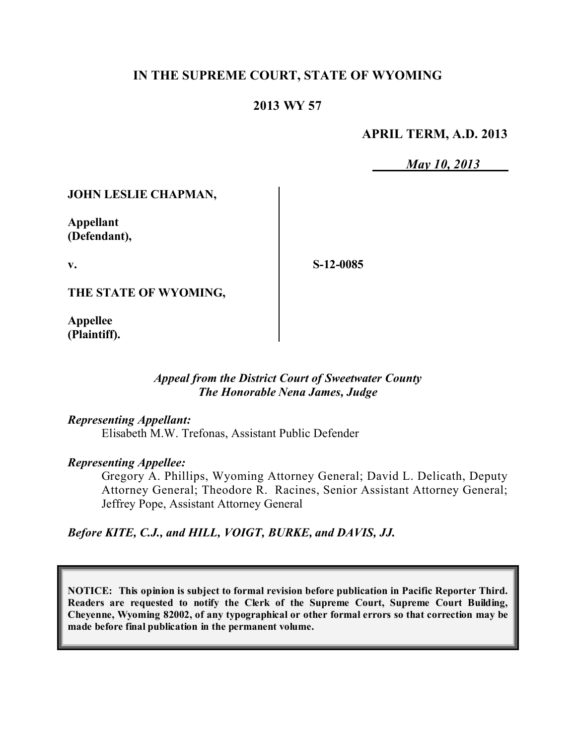## **IN THE SUPREME COURT, STATE OF WYOMING**

### **2013 WY 57**

#### **APRIL TERM, A.D. 2013**

*May 10, 2013*

#### **JOHN LESLIE CHAPMAN,**

**Appellant (Defendant),**

**v.**

**S-12-0085**

**THE STATE OF WYOMING,**

**Appellee (Plaintiff).**

#### *Appeal from the District Court of Sweetwater County The Honorable Nena James, Judge*

#### *Representing Appellant:*

Elisabeth M.W. Trefonas, Assistant Public Defender

#### *Representing Appellee:*

Gregory A. Phillips, Wyoming Attorney General; David L. Delicath, Deputy Attorney General; Theodore R. Racines, Senior Assistant Attorney General; Jeffrey Pope, Assistant Attorney General

*Before KITE, C.J., and HILL, VOIGT, BURKE, and DAVIS, JJ.*

**NOTICE: This opinion is subject to formal revision before publication in Pacific Reporter Third. Readers are requested to notify the Clerk of the Supreme Court, Supreme Court Building, Cheyenne, Wyoming 82002, of any typographical or other formal errors so that correction may be made before final publication in the permanent volume.**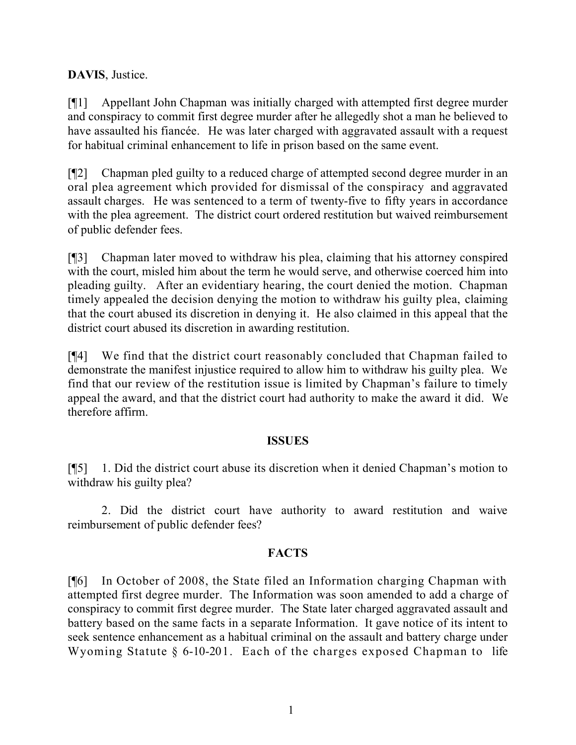**DAVIS**, Justice.

[¶1] Appellant John Chapman was initially charged with attempted first degree murder and conspiracy to commit first degree murder after he allegedly shot a man he believed to have assaulted his fiancée. He was later charged with aggravated assault with a request for habitual criminal enhancement to life in prison based on the same event.

[¶2] Chapman pled guilty to a reduced charge of attempted second degree murder in an oral plea agreement which provided for dismissal of the conspiracy and aggravated assault charges. He was sentenced to a term of twenty-five to fifty years in accordance with the plea agreement. The district court ordered restitution but waived reimbursement of public defender fees.

[¶3] Chapman later moved to withdraw his plea, claiming that his attorney conspired with the court, misled him about the term he would serve, and otherwise coerced him into pleading guilty. After an evidentiary hearing, the court denied the motion. Chapman timely appealed the decision denying the motion to withdraw his guilty plea, claiming that the court abused its discretion in denying it. He also claimed in this appeal that the district court abused its discretion in awarding restitution.

[¶4] We find that the district court reasonably concluded that Chapman failed to demonstrate the manifest injustice required to allow him to withdraw his guilty plea. We find that our review of the restitution issue is limited by Chapman's failure to timely appeal the award, and that the district court had authority to make the award it did. We therefore affirm.

### **ISSUES**

[¶5] 1. Did the district court abuse its discretion when it denied Chapman's motion to withdraw his guilty plea?

2. Did the district court have authority to award restitution and waive reimbursement of public defender fees?

### **FACTS**

[¶6] In October of 2008, the State filed an Information charging Chapman with attempted first degree murder. The Information was soon amended to add a charge of conspiracy to commit first degree murder. The State later charged aggravated assault and battery based on the same facts in a separate Information. It gave notice of its intent to seek sentence enhancement as a habitual criminal on the assault and battery charge under Wyoming Statute § 6-10-201. Each of the charges exposed Chapman to life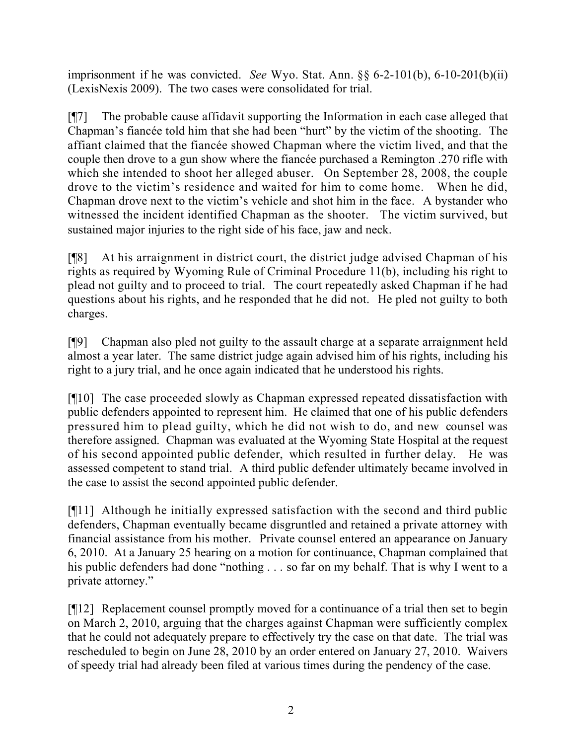imprisonment if he was convicted. *See* Wyo. Stat. Ann. §§ 6-2-101(b), 6-10-201(b)(ii) (LexisNexis 2009). The two cases were consolidated for trial.

[¶7] The probable cause affidavit supporting the Information in each case alleged that Chapman's fiancée told him that she had been "hurt" by the victim of the shooting. The affiant claimed that the fiancée showed Chapman where the victim lived, and that the couple then drove to a gun show where the fiancée purchased a Remington .270 rifle with which she intended to shoot her alleged abuser. On September 28, 2008, the couple drove to the victim's residence and waited for him to come home. When he did, Chapman drove next to the victim's vehicle and shot him in the face. A bystander who witnessed the incident identified Chapman as the shooter. The victim survived, but sustained major injuries to the right side of his face, jaw and neck.

[¶8] At his arraignment in district court, the district judge advised Chapman of his rights as required by Wyoming Rule of Criminal Procedure 11(b), including his right to plead not guilty and to proceed to trial. The court repeatedly asked Chapman if he had questions about his rights, and he responded that he did not. He pled not guilty to both charges.

[¶9] Chapman also pled not guilty to the assault charge at a separate arraignment held almost a year later. The same district judge again advised him of his rights, including his right to a jury trial, and he once again indicated that he understood his rights.

[¶10] The case proceeded slowly as Chapman expressed repeated dissatisfaction with public defenders appointed to represent him. He claimed that one of his public defenders pressured him to plead guilty, which he did not wish to do, and new counsel was therefore assigned. Chapman was evaluated at the Wyoming State Hospital at the request of his second appointed public defender, which resulted in further delay. He was assessed competent to stand trial. A third public defender ultimately became involved in the case to assist the second appointed public defender.

[¶11] Although he initially expressed satisfaction with the second and third public defenders, Chapman eventually became disgruntled and retained a private attorney with financial assistance from his mother. Private counsel entered an appearance on January 6, 2010. At a January 25 hearing on a motion for continuance, Chapman complained that his public defenders had done "nothing . . . so far on my behalf. That is why I went to a private attorney."

[¶12] Replacement counsel promptly moved for a continuance of a trial then set to begin on March 2, 2010, arguing that the charges against Chapman were sufficiently complex that he could not adequately prepare to effectively try the case on that date. The trial was rescheduled to begin on June 28, 2010 by an order entered on January 27, 2010. Waivers of speedy trial had already been filed at various times during the pendency of the case.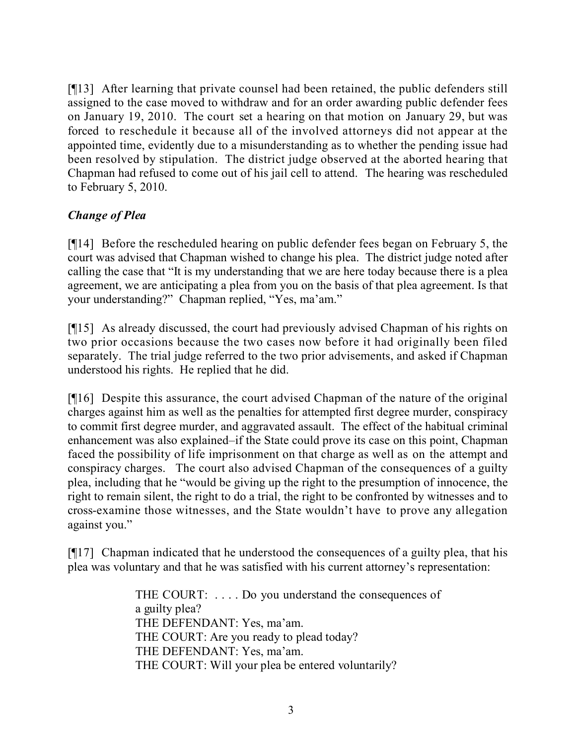[¶13] After learning that private counsel had been retained, the public defenders still assigned to the case moved to withdraw and for an order awarding public defender fees on January 19, 2010. The court set a hearing on that motion on January 29, but was forced to reschedule it because all of the involved attorneys did not appear at the appointed time, evidently due to a misunderstanding as to whether the pending issue had been resolved by stipulation. The district judge observed at the aborted hearing that Chapman had refused to come out of his jail cell to attend. The hearing was rescheduled to February 5, 2010.

# *Change of Plea*

[¶14] Before the rescheduled hearing on public defender fees began on February 5, the court was advised that Chapman wished to change his plea. The district judge noted after calling the case that "It is my understanding that we are here today because there is a plea agreement, we are anticipating a plea from you on the basis of that plea agreement. Is that your understanding?" Chapman replied, "Yes, ma'am."

[¶15] As already discussed, the court had previously advised Chapman of his rights on two prior occasions because the two cases now before it had originally been filed separately. The trial judge referred to the two prior advisements, and asked if Chapman understood his rights. He replied that he did.

[¶16] Despite this assurance, the court advised Chapman of the nature of the original charges against him as well as the penalties for attempted first degree murder, conspiracy to commit first degree murder, and aggravated assault. The effect of the habitual criminal enhancement was also explained–if the State could prove its case on this point, Chapman faced the possibility of life imprisonment on that charge as well as on the attempt and conspiracy charges. The court also advised Chapman of the consequences of a guilty plea, including that he "would be giving up the right to the presumption of innocence, the right to remain silent, the right to do a trial, the right to be confronted by witnesses and to cross-examine those witnesses, and the State wouldn't have to prove any allegation against you."

[¶17] Chapman indicated that he understood the consequences of a guilty plea, that his plea was voluntary and that he was satisfied with his current attorney's representation:

> THE COURT: . . . . Do you understand the consequences of a guilty plea? THE DEFENDANT: Yes, ma'am. THE COURT: Are you ready to plead today? THE DEFENDANT: Yes, ma'am. THE COURT: Will your plea be entered voluntarily?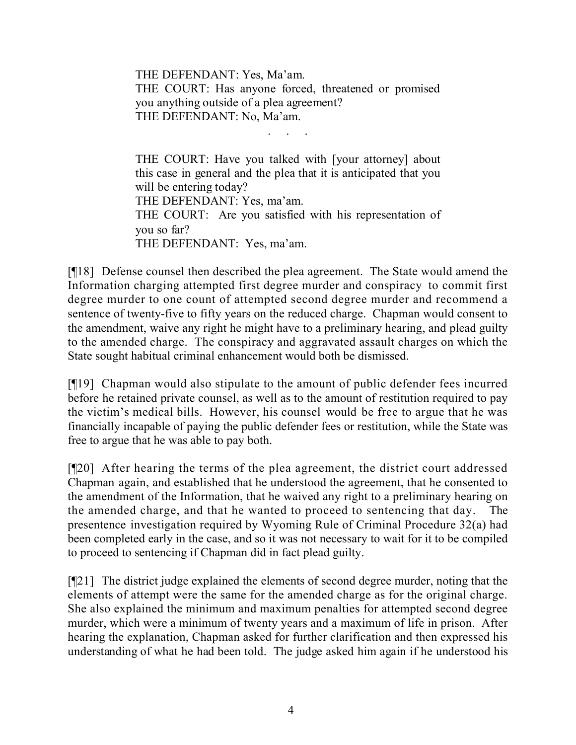THE DEFENDANT: Yes, Ma'am. THE COURT: Has anyone forced, threatened or promised you anything outside of a plea agreement? THE DEFENDANT: No, Ma'am.

. . . . .

THE COURT: Have you talked with [your attorney] about this case in general and the plea that it is anticipated that you will be entering today? THE DEFENDANT: Yes, ma'am. THE COURT: Are you satisfied with his representation of you so far? THE DEFENDANT: Yes, ma'am.

[¶18] Defense counsel then described the plea agreement. The State would amend the Information charging attempted first degree murder and conspiracy to commit first degree murder to one count of attempted second degree murder and recommend a sentence of twenty-five to fifty years on the reduced charge. Chapman would consent to the amendment, waive any right he might have to a preliminary hearing, and plead guilty to the amended charge. The conspiracy and aggravated assault charges on which the State sought habitual criminal enhancement would both be dismissed.

[¶19] Chapman would also stipulate to the amount of public defender fees incurred before he retained private counsel, as well as to the amount of restitution required to pay the victim's medical bills. However, his counsel would be free to argue that he was financially incapable of paying the public defender fees or restitution, while the State was free to argue that he was able to pay both.

[¶20] After hearing the terms of the plea agreement, the district court addressed Chapman again, and established that he understood the agreement, that he consented to the amendment of the Information, that he waived any right to a preliminary hearing on the amended charge, and that he wanted to proceed to sentencing that day. The presentence investigation required by Wyoming Rule of Criminal Procedure 32(a) had been completed early in the case, and so it was not necessary to wait for it to be compiled to proceed to sentencing if Chapman did in fact plead guilty.

[¶21] The district judge explained the elements of second degree murder, noting that the elements of attempt were the same for the amended charge as for the original charge. She also explained the minimum and maximum penalties for attempted second degree murder, which were a minimum of twenty years and a maximum of life in prison. After hearing the explanation, Chapman asked for further clarification and then expressed his understanding of what he had been told. The judge asked him again if he understood his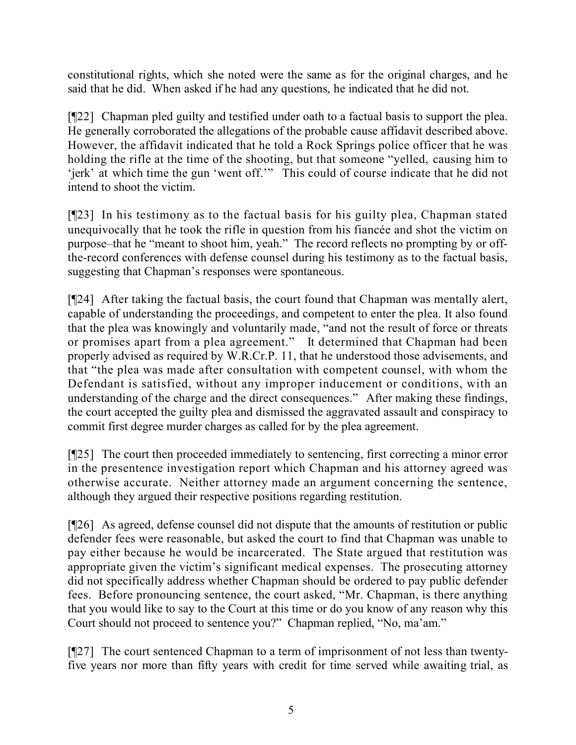constitutional rights, which she noted were the same as for the original charges, and he said that he did. When asked if he had any questions, he indicated that he did not.

[¶22] Chapman pled guilty and testified under oath to a factual basis to support the plea. He generally corroborated the allegations of the probable cause affidavit described above. However, the affidavit indicated that he told a Rock Springs police officer that he was holding the rifle at the time of the shooting, but that someone "yelled, causing him to 'jerk' at which time the gun 'went off.'" This could of course indicate that he did not intend to shoot the victim.

[¶23] In his testimony as to the factual basis for his guilty plea, Chapman stated unequivocally that he took the rifle in question from his fiancée and shot the victim on purpose–that he "meant to shoot him, yeah." The record reflects no prompting by or offthe-record conferences with defense counsel during his testimony as to the factual basis, suggesting that Chapman's responses were spontaneous.

[¶24] After taking the factual basis, the court found that Chapman was mentally alert, capable of understanding the proceedings, and competent to enter the plea. It also found that the plea was knowingly and voluntarily made, "and not the result of force or threats or promises apart from a plea agreement." It determined that Chapman had been properly advised as required by W.R.Cr.P. 11, that he understood those advisements, and that "the plea was made after consultation with competent counsel, with whom the Defendant is satisfied, without any improper inducement or conditions, with an understanding of the charge and the direct consequences." After making these findings, the court accepted the guilty plea and dismissed the aggravated assault and conspiracy to commit first degree murder charges as called for by the plea agreement.

[¶25] The court then proceeded immediately to sentencing, first correcting a minor error in the presentence investigation report which Chapman and his attorney agreed was otherwise accurate. Neither attorney made an argument concerning the sentence, although they argued their respective positions regarding restitution.

[¶26] As agreed, defense counsel did not dispute that the amounts of restitution or public defender fees were reasonable, but asked the court to find that Chapman was unable to pay either because he would be incarcerated. The State argued that restitution was appropriate given the victim's significant medical expenses. The prosecuting attorney did not specifically address whether Chapman should be ordered to pay public defender fees. Before pronouncing sentence, the court asked, "Mr. Chapman, is there anything that you would like to say to the Court at this time or do you know of any reason why this Court should not proceed to sentence you?" Chapman replied, "No, ma'am."

[¶27] The court sentenced Chapman to a term of imprisonment of not less than twentyfive years nor more than fifty years with credit for time served while awaiting trial, as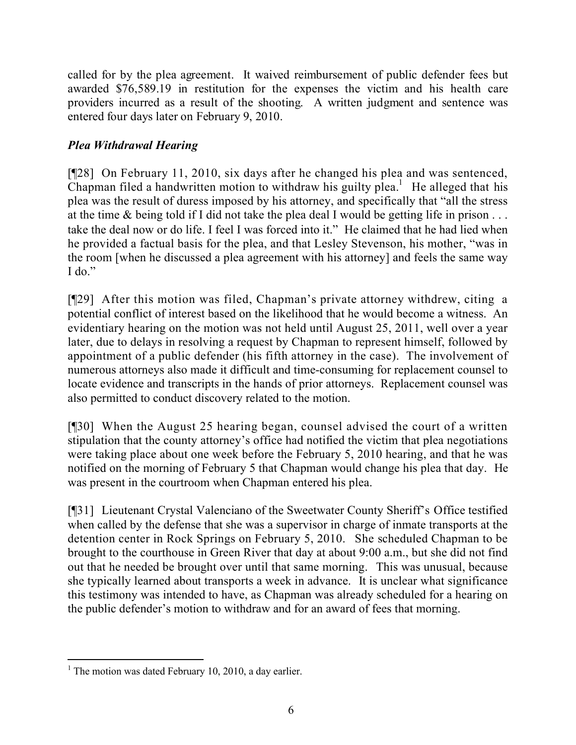called for by the plea agreement. It waived reimbursement of public defender fees but awarded \$76,589.19 in restitution for the expenses the victim and his health care providers incurred as a result of the shooting. A written judgment and sentence was entered four days later on February 9, 2010.

# *Plea Withdrawal Hearing*

[¶28] On February 11, 2010, six days after he changed his plea and was sentenced, Chapman filed a handwritten motion to withdraw his guilty plea.<sup>1</sup> He alleged that his plea was the result of duress imposed by his attorney, and specifically that "all the stress at the time & being told if I did not take the plea deal I would be getting life in prison . . . take the deal now or do life. I feel I was forced into it." He claimed that he had lied when he provided a factual basis for the plea, and that Lesley Stevenson, his mother, "was in the room [when he discussed a plea agreement with his attorney] and feels the same way  $I$  do."

[¶29] After this motion was filed, Chapman's private attorney withdrew, citing a potential conflict of interest based on the likelihood that he would become a witness. An evidentiary hearing on the motion was not held until August 25, 2011, well over a year later, due to delays in resolving a request by Chapman to represent himself, followed by appointment of a public defender (his fifth attorney in the case). The involvement of numerous attorneys also made it difficult and time-consuming for replacement counsel to locate evidence and transcripts in the hands of prior attorneys. Replacement counsel was also permitted to conduct discovery related to the motion.

[¶30] When the August 25 hearing began, counsel advised the court of a written stipulation that the county attorney's office had notified the victim that plea negotiations were taking place about one week before the February 5, 2010 hearing, and that he was notified on the morning of February 5 that Chapman would change his plea that day. He was present in the courtroom when Chapman entered his plea.

[¶31] Lieutenant Crystal Valenciano of the Sweetwater County Sheriff's Office testified when called by the defense that she was a supervisor in charge of inmate transports at the detention center in Rock Springs on February 5, 2010. She scheduled Chapman to be brought to the courthouse in Green River that day at about 9:00 a.m., but she did not find out that he needed be brought over until that same morning. This was unusual, because she typically learned about transports a week in advance. It is unclear what significance this testimony was intended to have, as Chapman was already scheduled for a hearing on the public defender's motion to withdraw and for an award of fees that morning.

 <sup>1</sup> The motion was dated February 10, 2010, a day earlier.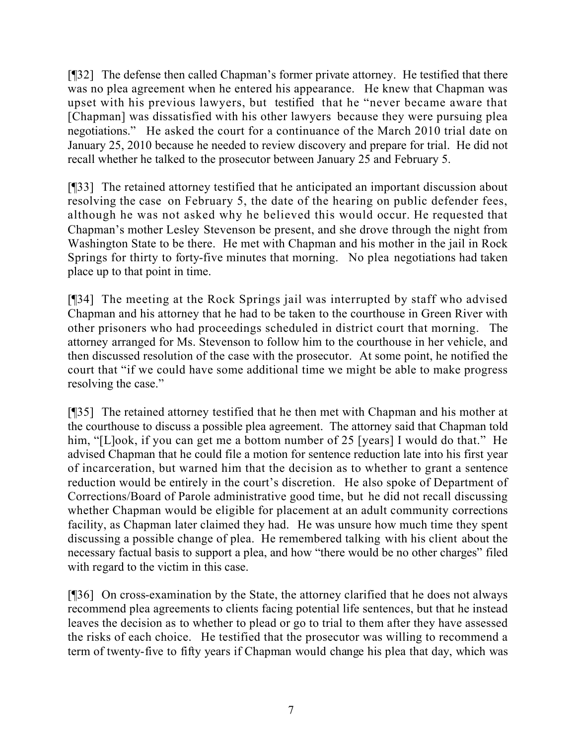[¶32] The defense then called Chapman's former private attorney. He testified that there was no plea agreement when he entered his appearance. He knew that Chapman was upset with his previous lawyers, but testified that he "never became aware that [Chapman] was dissatisfied with his other lawyers because they were pursuing plea negotiations." He asked the court for a continuance of the March 2010 trial date on January 25, 2010 because he needed to review discovery and prepare for trial. He did not recall whether he talked to the prosecutor between January 25 and February 5.

[¶33] The retained attorney testified that he anticipated an important discussion about resolving the case on February 5, the date of the hearing on public defender fees, although he was not asked why he believed this would occur. He requested that Chapman's mother Lesley Stevenson be present, and she drove through the night from Washington State to be there. He met with Chapman and his mother in the jail in Rock Springs for thirty to forty-five minutes that morning. No plea negotiations had taken place up to that point in time.

[¶34] The meeting at the Rock Springs jail was interrupted by staff who advised Chapman and his attorney that he had to be taken to the courthouse in Green River with other prisoners who had proceedings scheduled in district court that morning. The attorney arranged for Ms. Stevenson to follow him to the courthouse in her vehicle, and then discussed resolution of the case with the prosecutor. At some point, he notified the court that "if we could have some additional time we might be able to make progress resolving the case."

[¶35] The retained attorney testified that he then met with Chapman and his mother at the courthouse to discuss a possible plea agreement. The attorney said that Chapman told him, "[L]ook, if you can get me a bottom number of 25 [years] I would do that." He advised Chapman that he could file a motion for sentence reduction late into his first year of incarceration, but warned him that the decision as to whether to grant a sentence reduction would be entirely in the court's discretion. He also spoke of Department of Corrections/Board of Parole administrative good time, but he did not recall discussing whether Chapman would be eligible for placement at an adult community corrections facility, as Chapman later claimed they had. He was unsure how much time they spent discussing a possible change of plea. He remembered talking with his client about the necessary factual basis to support a plea, and how "there would be no other charges" filed with regard to the victim in this case.

[¶36] On cross-examination by the State, the attorney clarified that he does not always recommend plea agreements to clients facing potential life sentences, but that he instead leaves the decision as to whether to plead or go to trial to them after they have assessed the risks of each choice. He testified that the prosecutor was willing to recommend a term of twenty-five to fifty years if Chapman would change his plea that day, which was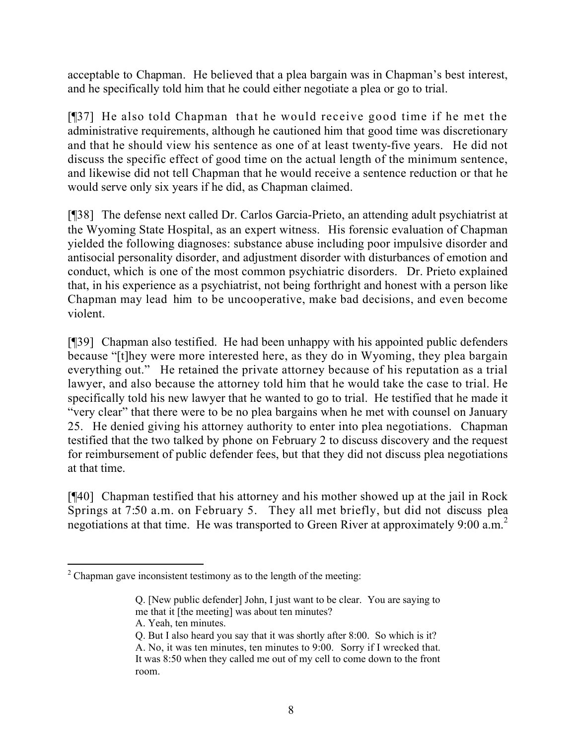acceptable to Chapman. He believed that a plea bargain was in Chapman's best interest, and he specifically told him that he could either negotiate a plea or go to trial.

[¶37] He also told Chapman that he would receive good time if he met the administrative requirements, although he cautioned him that good time was discretionary and that he should view his sentence as one of at least twenty-five years. He did not discuss the specific effect of good time on the actual length of the minimum sentence, and likewise did not tell Chapman that he would receive a sentence reduction or that he would serve only six years if he did, as Chapman claimed.

[¶38] The defense next called Dr. Carlos Garcia-Prieto, an attending adult psychiatrist at the Wyoming State Hospital, as an expert witness. His forensic evaluation of Chapman yielded the following diagnoses: substance abuse including poor impulsive disorder and antisocial personality disorder, and adjustment disorder with disturbances of emotion and conduct, which is one of the most common psychiatric disorders. Dr. Prieto explained that, in his experience as a psychiatrist, not being forthright and honest with a person like Chapman may lead him to be uncooperative, make bad decisions, and even become violent.

[¶39] Chapman also testified. He had been unhappy with his appointed public defenders because "[t]hey were more interested here, as they do in Wyoming, they plea bargain everything out." He retained the private attorney because of his reputation as a trial lawyer, and also because the attorney told him that he would take the case to trial. He specifically told his new lawyer that he wanted to go to trial. He testified that he made it "very clear" that there were to be no plea bargains when he met with counsel on January 25. He denied giving his attorney authority to enter into plea negotiations. Chapman testified that the two talked by phone on February 2 to discuss discovery and the request for reimbursement of public defender fees, but that they did not discuss plea negotiations at that time.

[¶40] Chapman testified that his attorney and his mother showed up at the jail in Rock Springs at 7:50 a.m. on February 5. They all met briefly, but did not discuss plea negotiations at that time. He was transported to Green River at approximately 9:00 a.m.<sup>2</sup>

 $\overline{a}$  $2$  Chapman gave inconsistent testimony as to the length of the meeting:

Q. [New public defender] John, I just want to be clear. You are saying to me that it [the meeting] was about ten minutes?

A. Yeah, ten minutes.

Q. But I also heard you say that it was shortly after 8:00. So which is it? A. No, it was ten minutes, ten minutes to 9:00. Sorry if I wrecked that. It was 8:50 when they called me out of my cell to come down to the front room.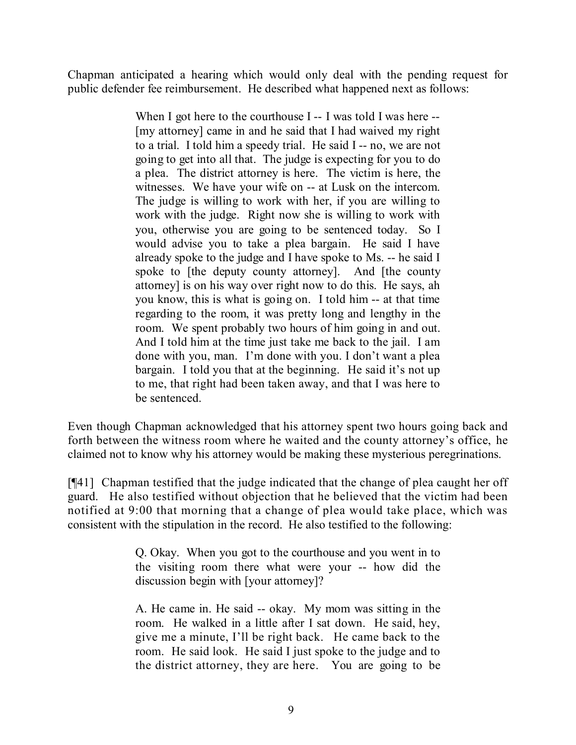Chapman anticipated a hearing which would only deal with the pending request for public defender fee reimbursement. He described what happened next as follows:

> When I got here to the courthouse I -- I was told I was here --[my attorney] came in and he said that I had waived my right to a trial. I told him a speedy trial. He said I -- no, we are not going to get into all that. The judge is expecting for you to do a plea. The district attorney is here. The victim is here, the witnesses. We have your wife on -- at Lusk on the intercom. The judge is willing to work with her, if you are willing to work with the judge. Right now she is willing to work with you, otherwise you are going to be sentenced today. So I would advise you to take a plea bargain. He said I have already spoke to the judge and I have spoke to Ms. -- he said I spoke to [the deputy county attorney]. And [the county attorney] is on his way over right now to do this. He says, ah you know, this is what is going on. I told him -- at that time regarding to the room, it was pretty long and lengthy in the room. We spent probably two hours of him going in and out. And I told him at the time just take me back to the jail. I am done with you, man. I'm done with you. I don't want a plea bargain. I told you that at the beginning. He said it's not up to me, that right had been taken away, and that I was here to be sentenced.

Even though Chapman acknowledged that his attorney spent two hours going back and forth between the witness room where he waited and the county attorney's office, he claimed not to know why his attorney would be making these mysterious peregrinations.

[¶41] Chapman testified that the judge indicated that the change of plea caught her off guard. He also testified without objection that he believed that the victim had been notified at 9:00 that morning that a change of plea would take place, which was consistent with the stipulation in the record. He also testified to the following:

> Q. Okay. When you got to the courthouse and you went in to the visiting room there what were your -- how did the discussion begin with [your attorney]?

> A. He came in. He said -- okay. My mom was sitting in the room. He walked in a little after I sat down. He said, hey, give me a minute, I'll be right back. He came back to the room. He said look. He said I just spoke to the judge and to the district attorney, they are here. You are going to be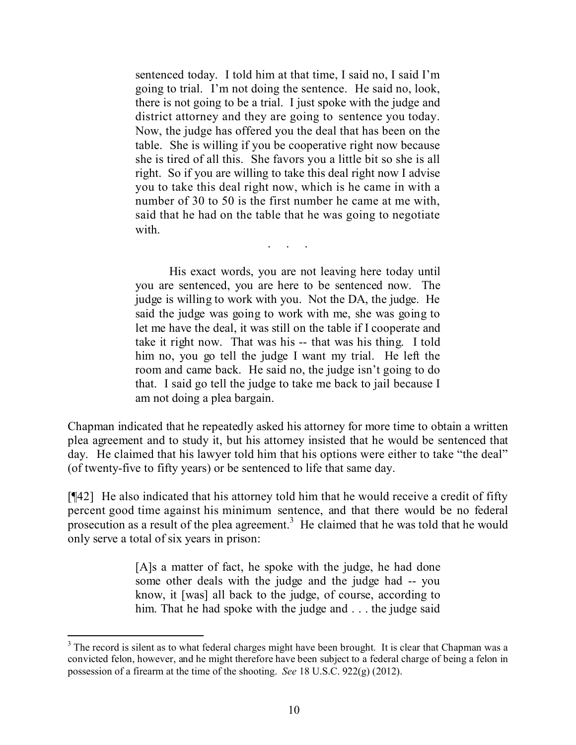sentenced today. I told him at that time, I said no, I said I'm going to trial. I'm not doing the sentence. He said no, look, there is not going to be a trial. I just spoke with the judge and district attorney and they are going to sentence you today. Now, the judge has offered you the deal that has been on the table. She is willing if you be cooperative right now because she is tired of all this. She favors you a little bit so she is all right. So if you are willing to take this deal right now I advise you to take this deal right now, which is he came in with a number of 30 to 50 is the first number he came at me with, said that he had on the table that he was going to negotiate with.

. . . . .

His exact words, you are not leaving here today until you are sentenced, you are here to be sentenced now. The judge is willing to work with you. Not the DA, the judge. He said the judge was going to work with me, she was going to let me have the deal, it was still on the table if I cooperate and take it right now. That was his -- that was his thing. I told him no, you go tell the judge I want my trial. He left the room and came back. He said no, the judge isn't going to do that. I said go tell the judge to take me back to jail because I am not doing a plea bargain.

Chapman indicated that he repeatedly asked his attorney for more time to obtain a written plea agreement and to study it, but his attorney insisted that he would be sentenced that day. He claimed that his lawyer told him that his options were either to take "the deal" (of twenty-five to fifty years) or be sentenced to life that same day.

[¶42] He also indicated that his attorney told him that he would receive a credit of fifty percent good time against his minimum sentence, and that there would be no federal prosecution as a result of the plea agreement.<sup>3</sup> He claimed that he was told that he would only serve a total of six years in prison:

> [A]s a matter of fact, he spoke with the judge, he had done some other deals with the judge and the judge had -- you know, it [was] all back to the judge, of course, according to him. That he had spoke with the judge and . . . the judge said

<sup>&</sup>lt;sup>3</sup> The record is silent as to what federal charges might have been brought. It is clear that Chapman was a convicted felon, however, and he might therefore have been subject to a federal charge of being a felon in possession of a firearm at the time of the shooting. *See* 18 U.S.C. 922(g) (2012).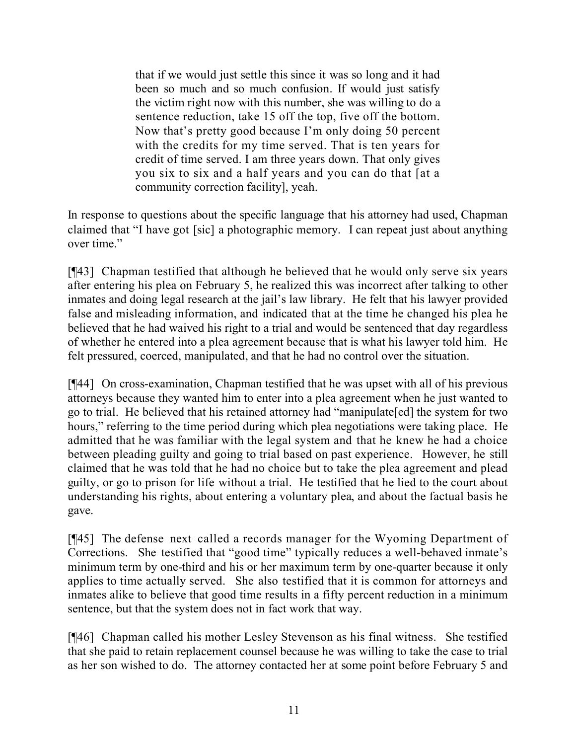that if we would just settle this since it was so long and it had been so much and so much confusion. If would just satisfy the victim right now with this number, she was willing to do a sentence reduction, take 15 off the top, five off the bottom. Now that's pretty good because I'm only doing 50 percent with the credits for my time served. That is ten years for credit of time served. I am three years down. That only gives you six to six and a half years and you can do that [at a community correction facility], yeah.

In response to questions about the specific language that his attorney had used, Chapman claimed that "I have got [sic] a photographic memory. I can repeat just about anything over time."

[¶43] Chapman testified that although he believed that he would only serve six years after entering his plea on February 5, he realized this was incorrect after talking to other inmates and doing legal research at the jail's law library. He felt that his lawyer provided false and misleading information, and indicated that at the time he changed his plea he believed that he had waived his right to a trial and would be sentenced that day regardless of whether he entered into a plea agreement because that is what his lawyer told him. He felt pressured, coerced, manipulated, and that he had no control over the situation.

[¶44] On cross-examination, Chapman testified that he was upset with all of his previous attorneys because they wanted him to enter into a plea agreement when he just wanted to go to trial. He believed that his retained attorney had "manipulate[ed] the system for two hours," referring to the time period during which plea negotiations were taking place. He admitted that he was familiar with the legal system and that he knew he had a choice between pleading guilty and going to trial based on past experience. However, he still claimed that he was told that he had no choice but to take the plea agreement and plead guilty, or go to prison for life without a trial. He testified that he lied to the court about understanding his rights, about entering a voluntary plea, and about the factual basis he gave.

[¶45] The defense next called a records manager for the Wyoming Department of Corrections. She testified that "good time" typically reduces a well-behaved inmate's minimum term by one-third and his or her maximum term by one-quarter because it only applies to time actually served. She also testified that it is common for attorneys and inmates alike to believe that good time results in a fifty percent reduction in a minimum sentence, but that the system does not in fact work that way.

[¶46] Chapman called his mother Lesley Stevenson as his final witness. She testified that she paid to retain replacement counsel because he was willing to take the case to trial as her son wished to do. The attorney contacted her at some point before February 5 and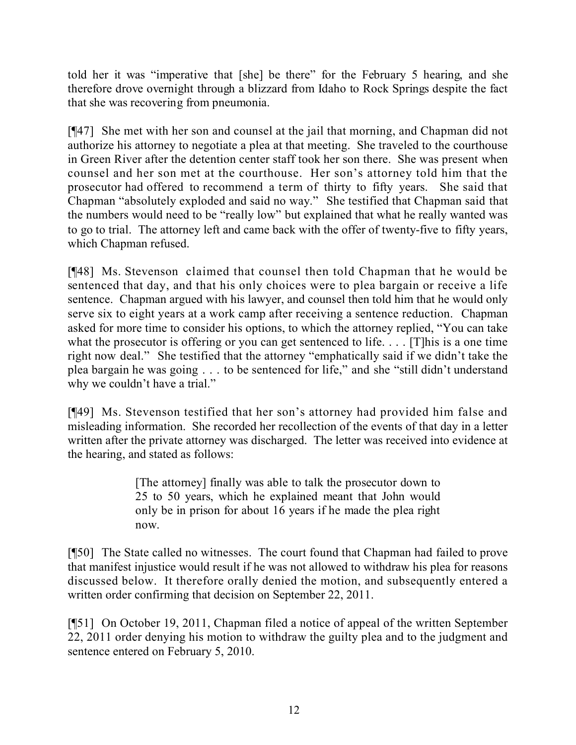told her it was "imperative that [she] be there" for the February 5 hearing, and she therefore drove overnight through a blizzard from Idaho to Rock Springs despite the fact that she was recovering from pneumonia.

[¶47] She met with her son and counsel at the jail that morning, and Chapman did not authorize his attorney to negotiate a plea at that meeting. She traveled to the courthouse in Green River after the detention center staff took her son there. She was present when counsel and her son met at the courthouse. Her son's attorney told him that the prosecutor had offered to recommend a term of thirty to fifty years. She said that Chapman "absolutely exploded and said no way." She testified that Chapman said that the numbers would need to be "really low" but explained that what he really wanted was to go to trial. The attorney left and came back with the offer of twenty-five to fifty years, which Chapman refused.

[¶48] Ms. Stevenson claimed that counsel then told Chapman that he would be sentenced that day, and that his only choices were to plea bargain or receive a life sentence. Chapman argued with his lawyer, and counsel then told him that he would only serve six to eight years at a work camp after receiving a sentence reduction. Chapman asked for more time to consider his options, to which the attorney replied, "You can take what the prosecutor is offering or you can get sentenced to life. . . . [T]his is a one time right now deal." She testified that the attorney "emphatically said if we didn't take the plea bargain he was going . . . to be sentenced for life," and she "still didn't understand why we couldn't have a trial."

[¶49] Ms. Stevenson testified that her son's attorney had provided him false and misleading information. She recorded her recollection of the events of that day in a letter written after the private attorney was discharged. The letter was received into evidence at the hearing, and stated as follows:

> [The attorney] finally was able to talk the prosecutor down to 25 to 50 years, which he explained meant that John would only be in prison for about 16 years if he made the plea right now.

[¶50] The State called no witnesses. The court found that Chapman had failed to prove that manifest injustice would result if he was not allowed to withdraw his plea for reasons discussed below. It therefore orally denied the motion, and subsequently entered a written order confirming that decision on September 22, 2011.

[¶51] On October 19, 2011, Chapman filed a notice of appeal of the written September 22, 2011 order denying his motion to withdraw the guilty plea and to the judgment and sentence entered on February 5, 2010.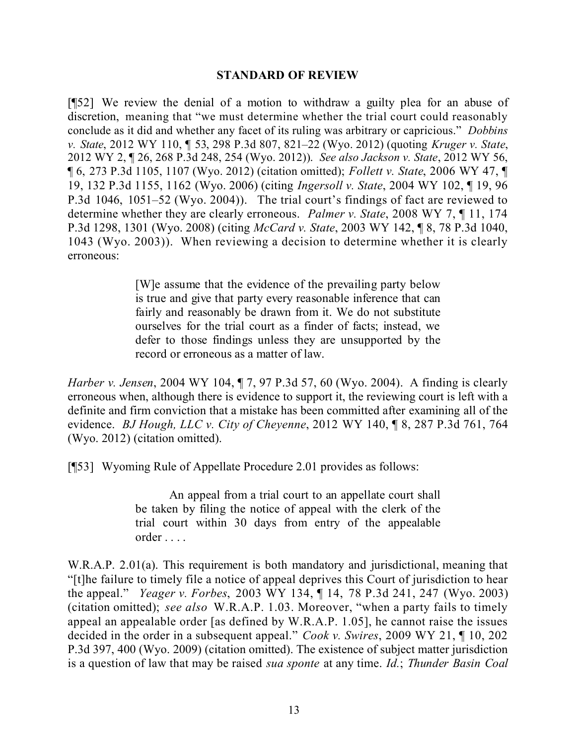#### **STANDARD OF REVIEW**

[¶52] We review the denial of a motion to withdraw a guilty plea for an abuse of discretion, meaning that "we must determine whether the trial court could reasonably conclude as it did and whether any facet of its ruling was arbitrary or capricious." *Dobbins v. State*, 2012 WY 110, ¶ 53, 298 P.3d 807, 821–22 (Wyo. 2012) (quoting *Kruger v. State*, 2012 WY 2, ¶ 26, 268 P.3d 248, 254 (Wyo. 2012)). *See also Jackson v. State*, 2012 WY 56, ¶ 6, 273 P.3d 1105, 1107 (Wyo. 2012) (citation omitted); *Follett v. State*, 2006 WY 47, ¶ 19, 132 P.3d 1155, 1162 (Wyo. 2006) (citing *Ingersoll v. State*, 2004 WY 102, ¶ 19, 96 P.3d 1046, 1051–52 (Wyo. 2004)). The trial court's findings of fact are reviewed to determine whether they are clearly erroneous. *Palmer v. State*, 2008 WY 7, ¶ 11, 174 P.3d 1298, 1301 (Wyo. 2008) (citing *McCard v. State*, 2003 WY 142, ¶ 8, 78 P.3d 1040, 1043 (Wyo. 2003)). When reviewing a decision to determine whether it is clearly erroneous:

> [W]e assume that the evidence of the prevailing party below is true and give that party every reasonable inference that can fairly and reasonably be drawn from it. We do not substitute ourselves for the trial court as a finder of facts; instead, we defer to those findings unless they are unsupported by the record or erroneous as a matter of law.

*Harber v. Jensen*, 2004 WY 104, ¶ 7, 97 P.3d 57, 60 (Wyo. 2004). A finding is clearly erroneous when, although there is evidence to support it, the reviewing court is left with a definite and firm conviction that a mistake has been committed after examining all of the evidence. *BJ Hough, LLC v. City of Cheyenne*, 2012 WY 140, ¶ 8, 287 P.3d 761, 764 (Wyo. 2012) (citation omitted).

[¶53] Wyoming Rule of Appellate Procedure 2.01 provides as follows:

An appeal from a trial court to an appellate court shall be taken by filing the notice of appeal with the clerk of the trial court within 30 days from entry of the appealable order . . . .

W.R.A.P. 2.01(a). This requirement is both mandatory and jurisdictional, meaning that "[t]he failure to timely file a notice of appeal deprives this Court of jurisdiction to hear the appeal." *Yeager v. Forbes*, 2003 WY 134, ¶ 14, 78 P.3d 241, 247 (Wyo. 2003) (citation omitted); *see also* W.R.A.P. 1.03. Moreover, "when a party fails to timely appeal an appealable order [as defined by W.R.A.P. 1.05], he cannot raise the issues decided in the order in a subsequent appeal." *Cook v. Swires*, 2009 WY 21, ¶ 10, 202 P.3d 397, 400 (Wyo. 2009) (citation omitted). The existence of subject matter jurisdiction is a question of law that may be raised *sua sponte* at any time. *Id.*; *Thunder Basin Coal*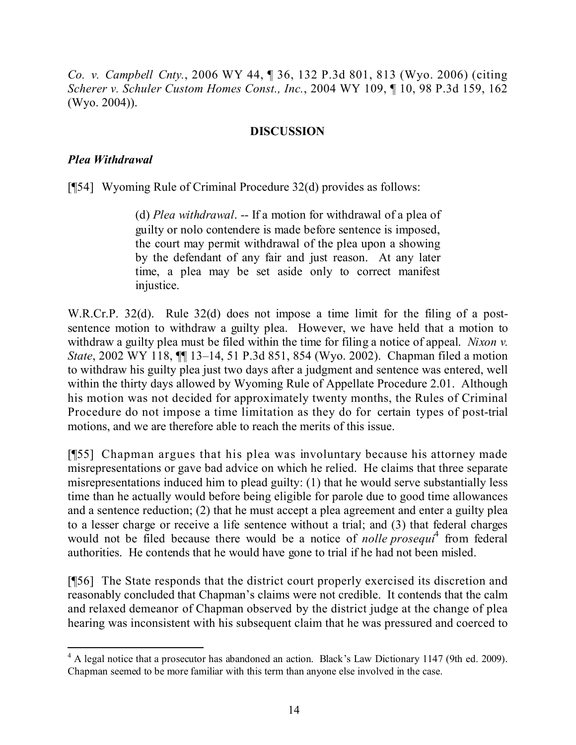*Co. v. Campbell Cnty.*, 2006 WY 44, ¶ 36, 132 P.3d 801, 813 (Wyo. 2006) (citing *Scherer v. Schuler Custom Homes Const., Inc.*, 2004 WY 109, ¶ 10, 98 P.3d 159, 162 (Wyo. 2004)).

### **DISCUSSION**

#### *Plea Withdrawal*

 $\overline{a}$ 

[¶54] Wyoming Rule of Criminal Procedure 32(d) provides as follows:

(d) *Plea withdrawal*. -- If a motion for withdrawal of a plea of guilty or nolo contendere is made before sentence is imposed, the court may permit withdrawal of the plea upon a showing by the defendant of any fair and just reason. At any later time, a plea may be set aside only to correct manifest injustice.

W.R.Cr.P. 32(d). Rule 32(d) does not impose a time limit for the filing of a postsentence motion to withdraw a guilty plea. However, we have held that a motion to withdraw a guilty plea must be filed within the time for filing a notice of appeal. *Nixon v. State*, 2002 WY 118, ¶¶ 13–14, 51 P.3d 851, 854 (Wyo. 2002). Chapman filed a motion to withdraw his guilty plea just two days after a judgment and sentence was entered, well within the thirty days allowed by Wyoming Rule of Appellate Procedure 2.01. Although his motion was not decided for approximately twenty months, the Rules of Criminal Procedure do not impose a time limitation as they do for certain types of post-trial motions, and we are therefore able to reach the merits of this issue.

[¶55] Chapman argues that his plea was involuntary because his attorney made misrepresentations or gave bad advice on which he relied. He claims that three separate misrepresentations induced him to plead guilty: (1) that he would serve substantially less time than he actually would before being eligible for parole due to good time allowances and a sentence reduction; (2) that he must accept a plea agreement and enter a guilty plea to a lesser charge or receive a life sentence without a trial; and (3) that federal charges would not be filed because there would be a notice of *nolle prosequi*<sup>4</sup> from federal authorities. He contends that he would have gone to trial if he had not been misled.

[¶56] The State responds that the district court properly exercised its discretion and reasonably concluded that Chapman's claims were not credible. It contends that the calm and relaxed demeanor of Chapman observed by the district judge at the change of plea hearing was inconsistent with his subsequent claim that he was pressured and coerced to

<sup>&</sup>lt;sup>4</sup> A legal notice that a prosecutor has abandoned an action. Black's Law Dictionary 1147 (9th ed. 2009). Chapman seemed to be more familiar with this term than anyone else involved in the case.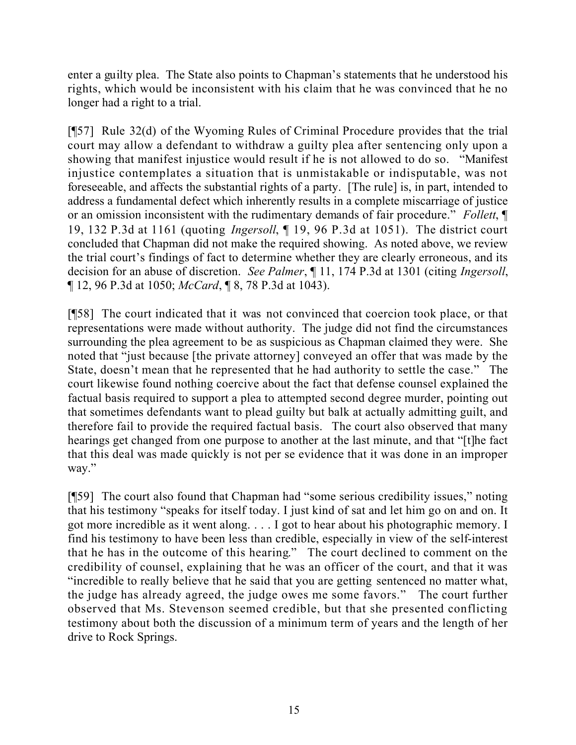enter a guilty plea. The State also points to Chapman's statements that he understood his rights, which would be inconsistent with his claim that he was convinced that he no longer had a right to a trial.

[¶57] Rule 32(d) of the Wyoming Rules of Criminal Procedure provides that the trial court may allow a defendant to withdraw a guilty plea after sentencing only upon a showing that manifest injustice would result if he is not allowed to do so. "Manifest injustice contemplates a situation that is unmistakable or indisputable, was not foreseeable, and affects the substantial rights of a party. [The rule] is, in part, intended to address a fundamental defect which inherently results in a complete miscarriage of justice or an omission inconsistent with the rudimentary demands of fair procedure." *Follett*, ¶ 19, 132 P.3d at 1161 (quoting *Ingersoll*, ¶ 19, 96 P.3d at 1051). The district court concluded that Chapman did not make the required showing. As noted above, we review the trial court's findings of fact to determine whether they are clearly erroneous, and its decision for an abuse of discretion. *See Palmer*, ¶ 11, 174 P.3d at 1301 (citing *Ingersoll*, ¶ 12, 96 P.3d at 1050; *McCard*, ¶ 8, 78 P.3d at 1043).

[¶58] The court indicated that it was not convinced that coercion took place, or that representations were made without authority. The judge did not find the circumstances surrounding the plea agreement to be as suspicious as Chapman claimed they were. She noted that "just because [the private attorney] conveyed an offer that was made by the State, doesn't mean that he represented that he had authority to settle the case." The court likewise found nothing coercive about the fact that defense counsel explained the factual basis required to support a plea to attempted second degree murder, pointing out that sometimes defendants want to plead guilty but balk at actually admitting guilt, and therefore fail to provide the required factual basis. The court also observed that many hearings get changed from one purpose to another at the last minute, and that "[t]he fact that this deal was made quickly is not per se evidence that it was done in an improper way."

[¶59] The court also found that Chapman had "some serious credibility issues," noting that his testimony "speaks for itself today. I just kind of sat and let him go on and on. It got more incredible as it went along. . . . I got to hear about his photographic memory. I find his testimony to have been less than credible, especially in view of the self-interest that he has in the outcome of this hearing." The court declined to comment on the credibility of counsel, explaining that he was an officer of the court, and that it was "incredible to really believe that he said that you are getting sentenced no matter what, the judge has already agreed, the judge owes me some favors." The court further observed that Ms. Stevenson seemed credible, but that she presented conflicting testimony about both the discussion of a minimum term of years and the length of her drive to Rock Springs.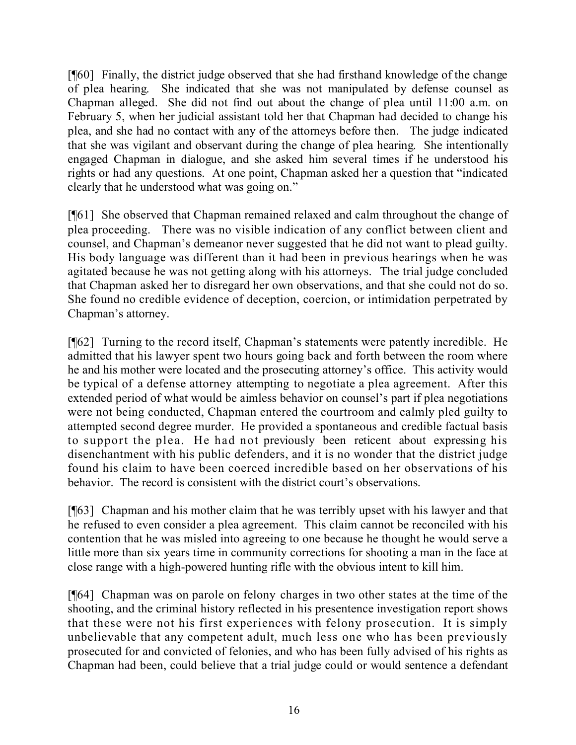[¶60] Finally, the district judge observed that she had firsthand knowledge of the change of plea hearing. She indicated that she was not manipulated by defense counsel as Chapman alleged. She did not find out about the change of plea until 11:00 a.m. on February 5, when her judicial assistant told her that Chapman had decided to change his plea, and she had no contact with any of the attorneys before then. The judge indicated that she was vigilant and observant during the change of plea hearing. She intentionally engaged Chapman in dialogue, and she asked him several times if he understood his rights or had any questions. At one point, Chapman asked her a question that "indicated clearly that he understood what was going on."

[¶61] She observed that Chapman remained relaxed and calm throughout the change of plea proceeding. There was no visible indication of any conflict between client and counsel, and Chapman's demeanor never suggested that he did not want to plead guilty. His body language was different than it had been in previous hearings when he was agitated because he was not getting along with his attorneys. The trial judge concluded that Chapman asked her to disregard her own observations, and that she could not do so. She found no credible evidence of deception, coercion, or intimidation perpetrated by Chapman's attorney.

[¶62] Turning to the record itself, Chapman's statements were patently incredible. He admitted that his lawyer spent two hours going back and forth between the room where he and his mother were located and the prosecuting attorney's office. This activity would be typical of a defense attorney attempting to negotiate a plea agreement. After this extended period of what would be aimless behavior on counsel's part if plea negotiations were not being conducted, Chapman entered the courtroom and calmly pled guilty to attempted second degree murder. He provided a spontaneous and credible factual basis to support the plea. He had not previously been reticent about expressing his disenchantment with his public defenders, and it is no wonder that the district judge found his claim to have been coerced incredible based on her observations of his behavior. The record is consistent with the district court's observations.

[¶63] Chapman and his mother claim that he was terribly upset with his lawyer and that he refused to even consider a plea agreement. This claim cannot be reconciled with his contention that he was misled into agreeing to one because he thought he would serve a little more than six years time in community corrections for shooting a man in the face at close range with a high-powered hunting rifle with the obvious intent to kill him.

[¶64] Chapman was on parole on felony charges in two other states at the time of the shooting, and the criminal history reflected in his presentence investigation report shows that these were not his first experiences with felony prosecution. It is simply unbelievable that any competent adult, much less one who has been previously prosecuted for and convicted of felonies, and who has been fully advised of his rights as Chapman had been, could believe that a trial judge could or would sentence a defendant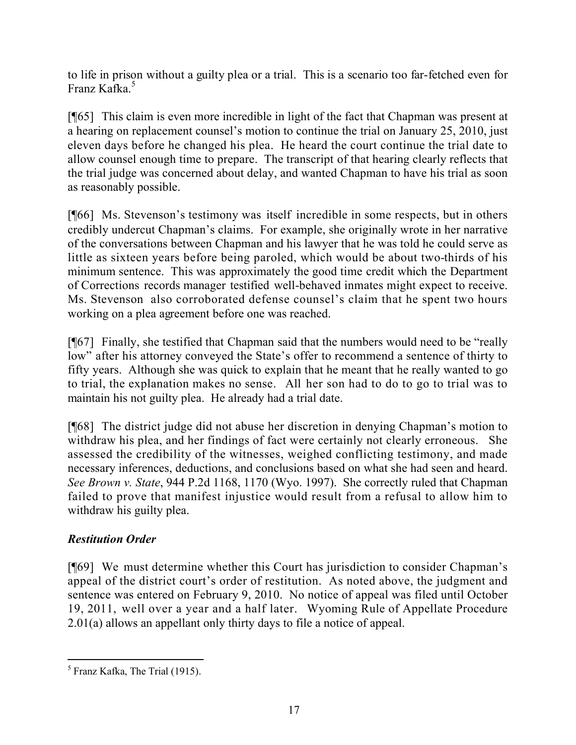to life in prison without a guilty plea or a trial. This is a scenario too far-fetched even for Franz Kafka.<sup>5</sup>

[¶65] This claim is even more incredible in light of the fact that Chapman was present at a hearing on replacement counsel's motion to continue the trial on January 25, 2010, just eleven days before he changed his plea. He heard the court continue the trial date to allow counsel enough time to prepare. The transcript of that hearing clearly reflects that the trial judge was concerned about delay, and wanted Chapman to have his trial as soon as reasonably possible.

[¶66] Ms. Stevenson's testimony was itself incredible in some respects, but in others credibly undercut Chapman's claims. For example, she originally wrote in her narrative of the conversations between Chapman and his lawyer that he was told he could serve as little as sixteen years before being paroled, which would be about two-thirds of his minimum sentence. This was approximately the good time credit which the Department of Corrections records manager testified well-behaved inmates might expect to receive. Ms. Stevenson also corroborated defense counsel's claim that he spent two hours working on a plea agreement before one was reached.

[¶67] Finally, she testified that Chapman said that the numbers would need to be "really low" after his attorney conveyed the State's offer to recommend a sentence of thirty to fifty years. Although she was quick to explain that he meant that he really wanted to go to trial, the explanation makes no sense. All her son had to do to go to trial was to maintain his not guilty plea. He already had a trial date.

[¶68] The district judge did not abuse her discretion in denying Chapman's motion to withdraw his plea, and her findings of fact were certainly not clearly erroneous. She assessed the credibility of the witnesses, weighed conflicting testimony, and made necessary inferences, deductions, and conclusions based on what she had seen and heard. *See Brown v. State*, 944 P.2d 1168, 1170 (Wyo. 1997). She correctly ruled that Chapman failed to prove that manifest injustice would result from a refusal to allow him to withdraw his guilty plea.

# *Restitution Order*

[¶69] We must determine whether this Court has jurisdiction to consider Chapman's appeal of the district court's order of restitution. As noted above, the judgment and sentence was entered on February 9, 2010. No notice of appeal was filed until October 19, 2011, well over a year and a half later. Wyoming Rule of Appellate Procedure 2.01(a) allows an appellant only thirty days to file a notice of appeal.

 <sup>5</sup> Franz Kafka, The Trial (1915).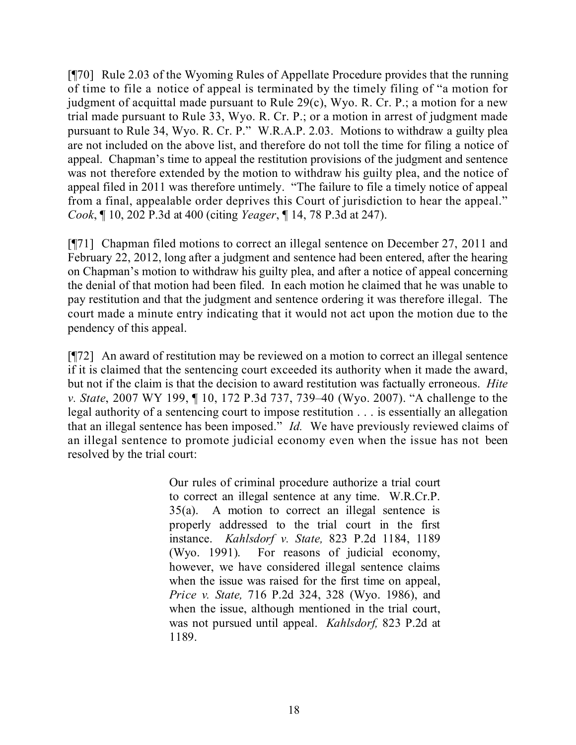[¶70] Rule 2.03 of the Wyoming Rules of Appellate Procedure provides that the running of time to file a notice of appeal is terminated by the timely filing of "a motion for judgment of acquittal made pursuant to Rule 29(c), Wyo. R. Cr. P.; a motion for a new trial made pursuant to Rule 33, Wyo. R. Cr. P.; or a motion in arrest of judgment made pursuant to Rule 34, Wyo. R. Cr. P." W.R.A.P. 2.03. Motions to withdraw a guilty plea are not included on the above list, and therefore do not toll the time for filing a notice of appeal. Chapman's time to appeal the restitution provisions of the judgment and sentence was not therefore extended by the motion to withdraw his guilty plea, and the notice of appeal filed in 2011 was therefore untimely. "The failure to file a timely notice of appeal from a final, appealable order deprives this Court of jurisdiction to hear the appeal." *Cook*, ¶ 10, 202 P.3d at 400 (citing *Yeager*, ¶ 14, 78 P.3d at 247).

[¶71] Chapman filed motions to correct an illegal sentence on December 27, 2011 and February 22, 2012, long after a judgment and sentence had been entered, after the hearing on Chapman's motion to withdraw his guilty plea, and after a notice of appeal concerning the denial of that motion had been filed. In each motion he claimed that he was unable to pay restitution and that the judgment and sentence ordering it was therefore illegal. The court made a minute entry indicating that it would not act upon the motion due to the pendency of this appeal.

[¶72] An award of restitution may be reviewed on a motion to correct an illegal sentence if it is claimed that the sentencing court exceeded its authority when it made the award, but not if the claim is that the decision to award restitution was factually erroneous. *Hite v. State*, 2007 WY 199, ¶ 10, 172 P.3d 737, 739–40 (Wyo. 2007). "A challenge to the legal authority of a sentencing court to impose restitution . . . is essentially an allegation that an illegal sentence has been imposed." *Id.* We have previously reviewed claims of an illegal sentence to promote judicial economy even when the issue has not been resolved by the trial court:

> Our rules of criminal procedure authorize a trial court to correct an illegal sentence at any time. W.R.Cr.P. 35(a). A motion to correct an illegal sentence is properly addressed to the trial court in the first instance. *Kahlsdorf v. State,* 823 P.2d 1184, 1189 (Wyo. 1991). For reasons of judicial economy, however, we have considered illegal sentence claims when the issue was raised for the first time on appeal, *Price v. State,* 716 P.2d 324, 328 (Wyo. 1986), and when the issue, although mentioned in the trial court, was not pursued until appeal. *Kahlsdorf,* 823 P.2d at 1189.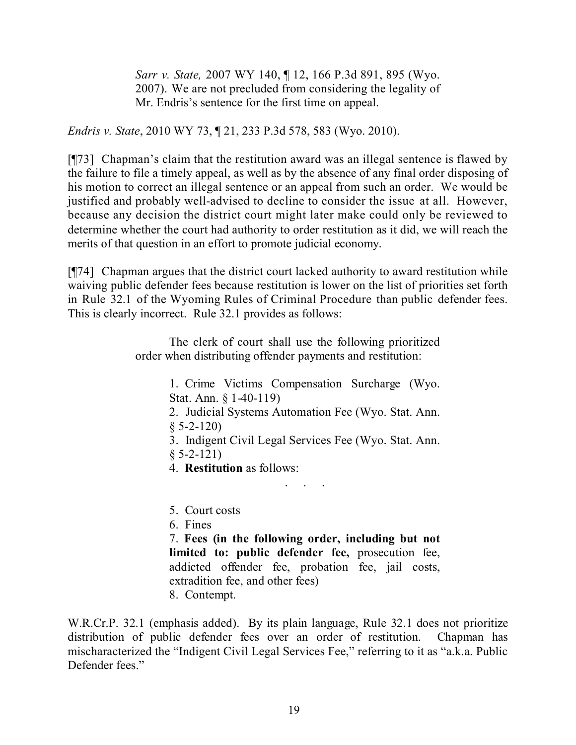*Sarr v. State,* 2007 WY 140, ¶ 12, 166 P.3d 891, 895 (Wyo. 2007). We are not precluded from considering the legality of Mr. Endris's sentence for the first time on appeal.

*Endris v. State*, 2010 WY 73, ¶ 21, 233 P.3d 578, 583 (Wyo. 2010).

[¶73] Chapman's claim that the restitution award was an illegal sentence is flawed by the failure to file a timely appeal, as well as by the absence of any final order disposing of his motion to correct an illegal sentence or an appeal from such an order. We would be justified and probably well-advised to decline to consider the issue at all. However, because any decision the district court might later make could only be reviewed to determine whether the court had authority to order restitution as it did, we will reach the merits of that question in an effort to promote judicial economy.

[¶74] Chapman argues that the district court lacked authority to award restitution while waiving public defender fees because restitution is lower on the list of priorities set forth in Rule 32.1 of the Wyoming Rules of Criminal Procedure than public defender fees. This is clearly incorrect. Rule 32.1 provides as follows:

> The clerk of court shall use the following prioritized order when distributing offender payments and restitution:

> > 1. Crime Victims Compensation Surcharge (Wyo. Stat. Ann. § 1-40-119)

- 2. Judicial Systems Automation Fee (Wyo. Stat. Ann.  $§ 5-2-120$
- 3. Indigent Civil Legal Services Fee (Wyo. Stat. Ann.

. . . . .<br>. . . . . .

- $§ 5-2-121)$
- 4. **Restitution** as follows:
- 5. Court costs
- 6. Fines

7. **Fees (in the following order, including but not limited to: public defender fee,** prosecution fee, addicted offender fee, probation fee, jail costs, extradition fee, and other fees)

8. Contempt.

W.R.Cr.P. 32.1 (emphasis added). By its plain language, Rule 32.1 does not prioritize distribution of public defender fees over an order of restitution. Chapman has mischaracterized the "Indigent Civil Legal Services Fee," referring to it as "a.k.a. Public Defender fees."